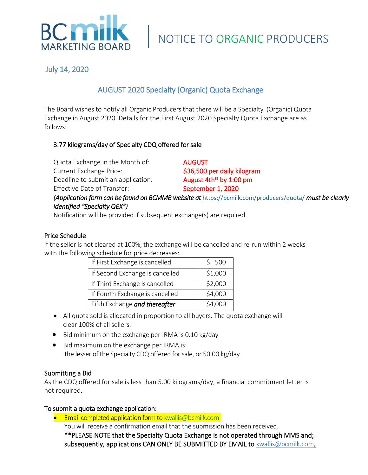

July 14, 2020

# AUGUST 2020 Specialty (Organic) Quota Exchange

The Board wishes to notify all Organic Producers that there will be a Specialty (Organic) Quota Exchange in August 2020. Details for the First August 2020 Specialty Quota Exchange are as follows:

# 3.77 kilograms/day of Specialty CDQ offered for sale

| Quota Exchange in the Month of:                                                                                                                                                                                                                                                                                               | <b>AUGUST</b>                                                                                          |
|-------------------------------------------------------------------------------------------------------------------------------------------------------------------------------------------------------------------------------------------------------------------------------------------------------------------------------|--------------------------------------------------------------------------------------------------------|
| <b>Current Exchange Price:</b>                                                                                                                                                                                                                                                                                                | \$36,500 per daily kilogram                                                                            |
| Deadline to submit an application:                                                                                                                                                                                                                                                                                            | August 4th <sup>st</sup> by 1:00 pm                                                                    |
| <b>Effective Date of Transfer:</b>                                                                                                                                                                                                                                                                                            | September 1, 2020                                                                                      |
| $\cdot$ , $\cdot$ , $\cdot$ , $\cdot$ , $\cdot$ , $\cdot$ , $\cdot$ , $\cdot$ , $\cdot$ , $\cdot$ , $\cdot$ , $\cdot$ , $\cdot$ , $\cdot$ , $\cdot$ , $\cdot$ , $\cdot$ , $\cdot$ , $\cdot$ , $\cdot$ , $\cdot$ , $\cdot$ , $\cdot$ , $\cdot$ , $\cdot$ , $\cdot$ , $\cdot$ , $\cdot$ , $\cdot$ , $\cdot$ , $\cdot$ , $\cdot$ | (Application form can be found on BCMMB website at https://bcmilk.com/producers/quota/ must be clearly |

#### *identified "Specialty QEX")* Notification will be provided if subsequent exchange(s) are required.

### Price Schedule

If the seller is not cleared at 100%, the exchange will be cancelled and re-run within 2 weeks with the following schedule for price decreases:

| If First Exchange is cancelled  | \$500   |
|---------------------------------|---------|
| If Second Exchange is cancelled | \$1,000 |
| If Third Exchange is cancelled  | \$2,000 |
| If Fourth Exchange is cancelled | \$4,000 |
| Fifth Exchange and thereafter   | \$4,000 |

- All quota sold is allocated in proportion to all buyers. The quota exchange will clear 100% of all sellers.
- Bid minimum on the exchange per IRMA is 0.10 kg/day
- Bid maximum on the exchange per IRMA is: the lesser of the Specialty CDQ offered for sale, or 50.00 kg/day

## Submitting a Bid

As the CDQ offered for sale is less than 5.00 kilograms/day, a financial commitment letter is not required.

### To submit a quota exchange application:

• Email completed application form to [kwallis@bcmilk.com](mailto:kwallis@bcmilk.com) You will receive a confirmation email that the submission has been received. \*\*PLEASE NOTE that the Specialty Quota Exchange is not operated through MMS and; subsequently, applications CAN ONLY BE SUBMITTED BY EMAIL to [kwallis@bcmilk.](mailto:kwallis@bcmilk)com.